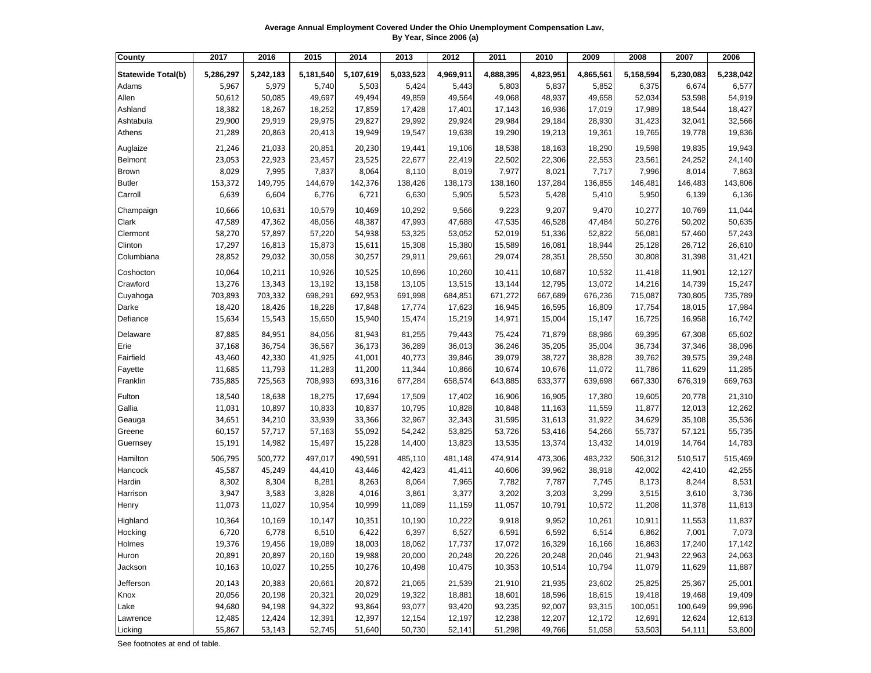**Average Annual Employment Covered Under the Ohio Unemployment Compensation Law, By Year, Since 2006 (a)**

| County                    | 2017      | 2016      | 2015      | 2014      | 2013      | 2012      | 2011      | 2010      | 2009      | 2008      | 2007      | 2006      |
|---------------------------|-----------|-----------|-----------|-----------|-----------|-----------|-----------|-----------|-----------|-----------|-----------|-----------|
| <b>Statewide Total(b)</b> | 5,286,297 | 5,242,183 | 5,181,540 | 5,107,619 | 5,033,523 | 4,969,911 | 4,888,395 | 4,823,951 | 4,865,561 | 5,158,594 | 5,230,083 | 5,238,042 |
| Adams                     | 5,967     | 5,979     | 5,740     | 5,503     | 5,424     | 5,443     | 5,803     | 5,837     | 5,852     | 6,375     | 6,674     | 6,577     |
| Allen                     | 50,612    | 50,085    | 49,697    | 49,494    | 49,859    | 49,564    | 49,068    | 48,937    | 49,658    | 52,034    | 53,598    | 54,919    |
| Ashland                   | 18,382    | 18,267    | 18,252    | 17,859    | 17,428    | 17,401    | 17,143    | 16,936    | 17,019    | 17,989    | 18,544    | 18,427    |
| Ashtabula                 | 29,900    | 29,919    | 29,975    | 29,827    | 29,992    | 29,924    | 29,984    | 29,184    | 28,930    | 31,423    | 32,041    | 32,566    |
| Athens                    | 21,289    | 20,863    | 20,413    | 19,949    | 19,547    | 19,638    | 19,290    | 19,213    | 19,361    | 19,765    | 19,778    | 19,836    |
| Auglaize                  | 21,246    | 21,033    | 20,851    | 20,230    | 19,441    | 19,106    | 18,538    | 18,163    | 18,290    | 19,598    | 19,835    | 19,943    |
| Belmont                   | 23,053    | 22,923    | 23,457    | 23,525    | 22,677    | 22,419    | 22,502    | 22,306    | 22,553    | 23,561    | 24,252    | 24,140    |
| <b>Brown</b>              | 8,029     | 7,995     | 7,837     | 8,064     | 8,110     | 8,019     | 7,977     | 8,021     | 7,717     | 7,996     | 8,014     | 7,863     |
| <b>Butler</b>             | 153,372   | 149,795   | 144,679   | 142,376   | 138,426   | 138,173   | 138,160   | 137,284   | 136,855   | 146,481   | 146,483   | 143,806   |
| Carroll                   | 6,639     | 6,604     | 6,776     | 6,721     | 6,630     | 5,905     | 5,523     | 5,428     | 5,410     | 5,950     | 6,139     | 6,136     |
| Champaign                 | 10,666    | 10,631    | 10,579    | 10,469    | 10,292    | 9,566     | 9,223     | 9,207     | 9,470     | 10,277    | 10,769    | 11,044    |
| <b>Clark</b>              | 47,589    | 47,362    | 48,056    | 48,387    | 47,993    | 47,688    | 47,535    | 46,528    | 47,484    | 50,276    | 50,202    | 50,635    |
| Clermont                  | 58,270    | 57,897    | 57,220    | 54,938    | 53,325    | 53,052    | 52,019    | 51,336    | 52,822    | 56,081    | 57,460    | 57,243    |
| Clinton                   | 17,297    | 16,813    | 15,873    | 15,611    | 15,308    | 15,380    | 15,589    | 16,081    | 18,944    | 25,128    | 26,712    | 26,610    |
| Columbiana                | 28,852    | 29,032    | 30,058    | 30,257    | 29,911    | 29,661    | 29,074    | 28,351    | 28,550    | 30,808    | 31,398    | 31,421    |
| Coshocton                 | 10,064    | 10,211    | 10,926    | 10,525    | 10,696    | 10,260    | 10,411    | 10,687    | 10,532    | 11,418    | 11,901    | 12,127    |
| Crawford                  | 13,276    | 13,343    | 13,192    | 13,158    | 13,105    | 13,515    | 13,144    | 12,795    | 13,072    | 14,216    | 14,739    | 15,247    |
| Cuyahoga                  | 703,893   | 703,332   | 698,291   | 692,953   | 691,998   | 684,851   | 671,272   | 667,689   | 676,236   | 715,087   | 730,805   | 735,789   |
| Darke                     | 18,420    | 18,426    | 18,228    | 17,848    | 17,774    | 17,623    | 16,945    | 16,595    | 16,809    | 17,754    | 18,015    | 17,984    |
| Defiance                  | 15,634    | 15,543    | 15,650    | 15,940    | 15,474    | 15,219    | 14,971    | 15,004    | 15,147    | 16,725    | 16,958    | 16,742    |
| Delaware                  | 87,885    | 84,951    | 84,056    | 81,943    | 81,255    | 79,443    | 75,424    | 71,879    | 68,986    | 69,395    | 67,308    | 65,602    |
| Erie                      | 37,168    | 36,754    | 36,567    | 36,173    | 36,289    | 36,013    | 36,246    | 35,205    | 35,004    | 36,734    | 37,346    | 38,096    |
| Fairfield                 | 43,460    | 42,330    | 41,925    | 41,001    | 40,773    | 39,846    | 39,079    | 38,727    | 38,828    | 39,762    | 39,575    | 39,248    |
| Fayette                   | 11,685    | 11,793    | 11,283    | 11,200    | 11,344    | 10,866    | 10,674    | 10,676    | 11,072    | 11,786    | 11,629    | 11,285    |
| Franklin                  | 735,885   | 725,563   | 708,993   | 693,316   | 677,284   | 658,574   | 643,885   | 633,377   | 639,698   | 667,330   | 676,319   | 669,763   |
| Fulton                    | 18,540    | 18,638    | 18,275    | 17,694    | 17,509    | 17,402    | 16,906    | 16,905    | 17,380    | 19,605    | 20,778    | 21,310    |
| Gallia                    | 11,031    | 10,897    | 10,833    | 10,837    | 10,795    | 10,828    | 10,848    | 11,163    | 11,559    | 11,877    | 12,013    | 12,262    |
| Geauga                    | 34,651    | 34,210    | 33,939    | 33,366    | 32,967    | 32,343    | 31,595    | 31,613    | 31,922    | 34,629    | 35,108    | 35,536    |
| Greene                    | 60,157    | 57,717    | 57,163    | 55,092    | 54,242    | 53,825    | 53,726    | 53,416    | 54,266    | 55,737    | 57,121    | 55,735    |
| Guernsey                  | 15,191    | 14,982    | 15,497    | 15,228    | 14,400    | 13,823    | 13,535    | 13,374    | 13,432    | 14,019    | 14,764    | 14,783    |
| Hamilton                  | 506,795   | 500,772   | 497,017   | 490,591   | 485,110   | 481,148   | 474,914   | 473,306   | 483,232   | 506,312   | 510,517   | 515,469   |
| Hancock                   | 45,587    | 45,249    | 44,410    | 43,446    | 42,423    | 41,411    | 40,606    | 39,962    | 38,918    | 42,002    | 42,410    | 42,255    |
| Hardin                    | 8,302     | 8,304     | 8,281     | 8,263     | 8,064     | 7,965     | 7,782     | 7,787     | 7,745     | 8,173     | 8,244     | 8,531     |
| Harrison                  | 3,947     | 3,583     | 3,828     | 4,016     | 3,861     | 3,377     | 3,202     | 3,203     | 3,299     | 3,515     | 3,610     | 3,736     |
| Henry                     | 11,073    | 11,027    | 10,954    | 10,999    | 11,089    | 11,159    | 11,057    | 10,791    | 10,572    | 11,208    | 11,378    | 11,813    |
| Highland                  | 10,364    | 10,169    | 10,147    | 10,351    | 10,190    | 10,222    | 9,918     | 9,952     | 10,261    | 10,911    | 11,553    | 11,837    |
| Hocking                   | 6,720     | 6,778     | 6,510     | 6,422     | 6,397     | 6,527     | 6,591     | 6,592     | 6,514     | 6,862     | 7,001     | 7,073     |
| Holmes                    | 19,376    | 19,456    | 19,089    | 18,003    | 18,062    | 17,737    | 17,072    | 16,329    | 16,166    | 16,863    | 17,240    | 17,142    |
| Huron                     | 20,891    | 20,897    | 20,160    | 19,988    | 20,000    | 20,248    | 20,226    | 20,248    | 20,046    | 21,943    | 22,963    | 24,063    |
| Jackson                   | 10,163    | 10,027    | 10,255    | 10,276    | 10,498    | 10,475    | 10,353    | 10,514    | 10,794    | 11,079    | 11,629    | 11,887    |
| Jefferson                 | 20,143    | 20,383    | 20,661    | 20,872    | 21,065    | 21,539    | 21,910    | 21,935    | 23,602    | 25,825    | 25,367    | 25,001    |
| Knox                      | 20,056    | 20,198    | 20,321    | 20,029    | 19,322    | 18,881    | 18,601    | 18,596    | 18,615    | 19,418    | 19,468    | 19,409    |
| Lake                      | 94,680    | 94,198    | 94,322    | 93,864    | 93,077    | 93,420    | 93,235    | 92,007    | 93,315    | 100,051   | 100,649   | 99,996    |
| Lawrence                  | 12,485    | 12,424    | 12,391    | 12,397    | 12,154    | 12,197    | 12,238    | 12,207    | 12,172    | 12,691    | 12,624    | 12,613    |
| Licking                   | 55,867    | 53,143    | 52,745    | 51,640    | 50,730    | 52,141    | 51,298    | 49,766    | 51,058    | 53,503    | 54,111    | 53,800    |

See footnotes at end of table.